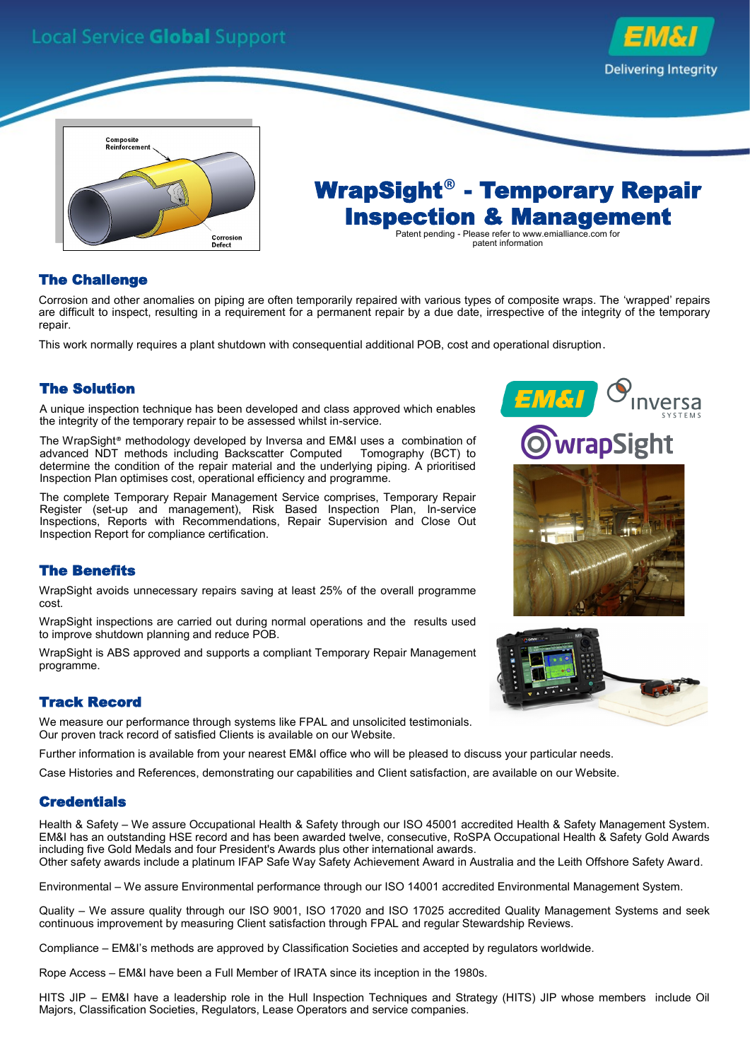# **Local Service Global Support**





WrapSight® - Temporary Repair Inspection & Management Patent pending - Please refer to www.emialliance.com for patent information

## The Challenge

Corrosion and other anomalies on piping are often temporarily repaired with various types of composite wraps. The 'wrapped' repairs are difficult to inspect, resulting in a requirement for a permanent repair by a due date, irrespective of the integrity of the temporary repair.

This work normally requires a plant shutdown with consequential additional POB, cost and operational disruption.

### The Solution

A unique inspection technique has been developed and class approved which enables the integrity of the temporary repair to be assessed whilst in-service.

The WrapSight® methodology developed by Inversa and EM&I uses a combination of advanced NDT methods including Backscatter Computed Tomography (BCT) to determine the condition of the repair material and the underlying piping. A prioritised Inspection Plan optimises cost, operational efficiency and programme.

The complete Temporary Repair Management Service comprises, Temporary Repair Register (set-up and management), Risk Based Inspection Plan, In-service Inspections, Reports with Recommendations, Repair Supervision and Close Out Inspection Report for compliance certification.

#### The Benefits

WrapSight avoids unnecessary repairs saving at least 25% of the overall programme cost.

WrapSight inspections are carried out during normal operations and the results used to improve shutdown planning and reduce POB.

WrapSight is ABS approved and supports a compliant Temporary Repair Management programme.

#### Track Record

We measure our performance through systems like FPAL and unsolicited testimonials. Our proven track record of satisfied Clients is available on our Website.

Further information is available from your nearest EM&I office who will be pleased to discuss your particular needs.

Case Histories and References, demonstrating our capabilities and Client satisfaction, are available on our Website.

#### **Credentials**

Health & Safety – We assure Occupational Health & Safety through our ISO 45001 accredited Health & Safety Management System. EM&I has an outstanding HSE record and has been awarded twelve, consecutive, RoSPA Occupational Health & Safety Gold Awards including five Gold Medals and four President's Awards plus other international awards. Other safety awards include a platinum IFAP Safe Way Safety Achievement Award in Australia and the Leith Offshore Safety Award.

Environmental – We assure Environmental performance through our ISO 14001 accredited Environmental Management System.

Quality – We assure quality through our ISO 9001, ISO 17020 and ISO 17025 accredited Quality Management Systems and seek continuous improvement by measuring Client satisfaction through FPAL and regular Stewardship Reviews.

Compliance – EM&I's methods are approved by Classification Societies and accepted by regulators worldwide.

Rope Access – EM&I have been a Full Member of IRATA since its inception in the 1980s.

HITS JIP – EM&I have a leadership role in the Hull Inspection Techniques and Strategy (HITS) JIP whose members include Oil Majors, Classification Societies, Regulators, Lease Operators and service companies.